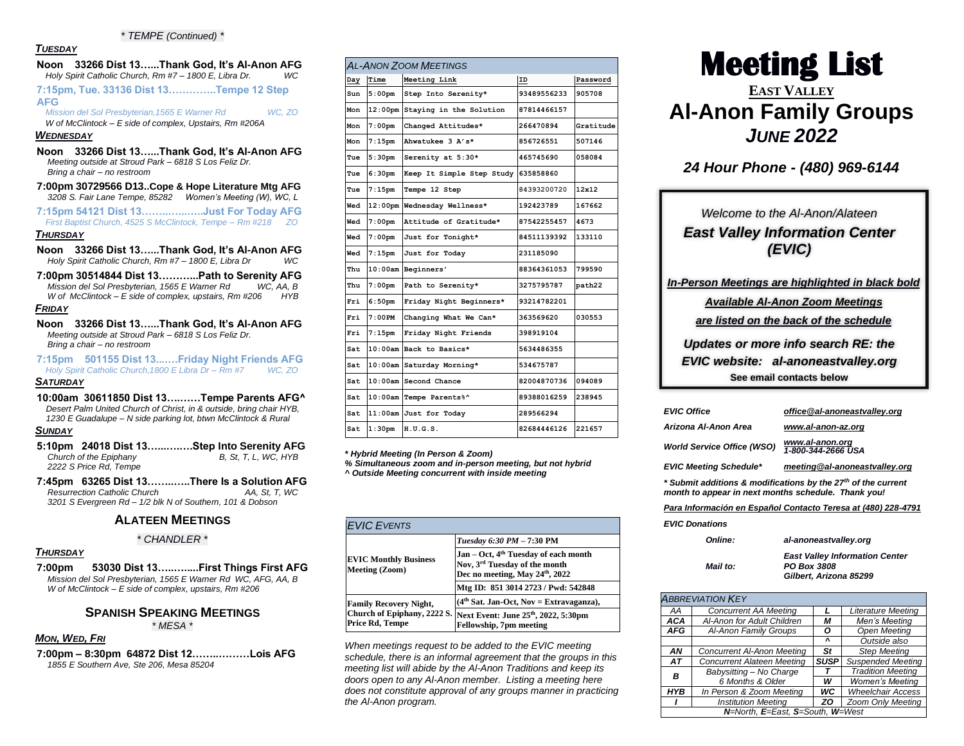#### *\* TEMPE (Continued) \**

## *TUESDAY*

|            | Noon 33266 Dist 13Thank God. It's Al-Anon AFG          |  |     |
|------------|--------------------------------------------------------|--|-----|
|            | Holy Spirit Catholic Church. Rm #7 - 1800 E. Libra Dr. |  | WC. |
| <b>AFG</b> | 7:15pm, Tue. 33136 Dist 13Tempe 12 Step                |  |     |

*Mission del Sol Presbyterian,1565 E Warner Rd WC, ZO W of McClintock – E side of complex, Upstairs, Rm #206A*

# *WEDNESDAY*

- **Noon 33266 Dist 13…...Thank God, It's Al-Anon AFG** *Meeting outside at Stroud Park – 6818 S Los Feliz Dr. Bring a chair – no restroom*
- **7:00pm 30729566 D13..Cope & Hope Literature Mtg AFG** *3208 S. Fair Lane Tempe, 85282 Women's Meeting (W), WC, L*
- **7:15pm 54121 Dist 13……..…...…..Just For Today AFG** *First Baptist Church, 4525 S McClintock, Tempe – Rm #218 ZO*

#### *THURSDAY*

- **Noon 33266 Dist 13…...Thank God, It's Al-Anon AFG** *Holy Spirit Catholic Church, Rm #7 – 1800 E, Libra Dr WC*
- **7:00pm 30514844 Dist 13………...Path to Serenity AFG**  *Mission del Sol Presbyterian, 1565 E Warner Rd WC, AA, B W of McClintock – E side of complex, upstairs, Rm #206 HYB FRIDAY*
- **Noon 33266 Dist 13…...Thank God, It's Al-Anon AFG** *Meeting outside at Stroud Park – 6818 S Los Feliz Dr. Bring a chair – no restroom*
- **7:15pm 501155 Dist 13...….Friday Night Friends AFG** *Holy Spirit Catholic Church,1800 E Libra Dr – Rm #7 WC, ZO*

# *SATURDAY*

**10:00am 30611850 Dist 13….……Tempe Parents AFG^** *Desert Palm United Church of Christ, in & outside, bring chair HYB, 1230 E Guadalupe – N side parking lot, btwn McClintock & Rural*

#### *SUNDAY*

- **5:10pm 24018 Dist 13…...….….Step Into Serenity AFG** *Church of the Epiphany B, St, T, L, WC, HYB 2222 S Price Rd, Tempe*
- **7:45pm 63265 Dist 13……..…..There Is a Solution AFG** *Resurrection Catholic Church AA, St, T, WC 3201 S Evergreen Rd – 1/2 blk N of Southern, 101 & Dobson*

# **ALATEEN MEETINGS**

#### *\* CHANDLER \**

#### *THURSDAY*

**7:00pm 53030 Dist 13…..….....First Things First AFG** *Mission del Sol Presbyterian, 1565 E Warner Rd WC, AFG, AA, B W of McClintock – E side of complex, upstairs, Rm #206* 

# **SPANISH SPEAKING MEETINGS**

*\* MESA \**

#### *MON, WED, FRI*

**7:00pm – 8:30pm 64872 Dist 12……..………Lois AFG** *1855 E Southern Ave, Ste 206, Mesa 85204* 

| <b>AL-ANON ZOOM MEETINGS</b> |                    |                                     |             |           |
|------------------------------|--------------------|-------------------------------------|-------------|-----------|
| Day                          | Time               | Meeting Link                        | ID          | Password  |
| Sun                          | $5:00$ pm          | Step Into Serenity*                 | 93489556233 | 905708    |
| Mon                          |                    | 12:00pm Staying in the Solution     | 87814466157 |           |
| Mon                          | $7:00$ pm          | Changed Attitudes*                  | 266470894   | Gratitude |
| Mon                          | $7:15$ pm          | Ahwatukee 3 A's*                    | 856726551   | 507146    |
| Tue                          | 5:30 <sub>pm</sub> | Serenity at 5:30*                   | 465745690   | 058084    |
| Tue                          | 6:30 <sub>pm</sub> | Keep It Simple Step Study 635858860 |             |           |
| Tue                          | 7:15 <sub>pm</sub> | Tempe 12 Step                       | 84393200720 | 12x12     |
| Wed                          |                    | 12:00pm Wednesday Wellness*         | 192423789   | 167662    |
| Wed                          | $7:00$ pm          | Attitude of Gratitude*              | 87542255457 | 4673      |
| Wed                          | 7:00 <sub>pm</sub> | Just for Tonight*                   | 84511139392 | 133110    |
| Wed                          | $7:15$ pm          | Just for Today                      | 231185090   |           |
| Thu                          |                    | 10:00am Beginners'                  | 88364361053 | 799590    |
| Thu                          | 7:00 <sub>pm</sub> | Path to Serenity*                   | 3275795787  | path22    |
| Fri                          | 6:50 <sub>pm</sub> | Friday Night Beginners*             | 93214782201 |           |
| Fri                          | $7:00$ PM          | Changing What We Can*               | 363569620   | 030553    |
| Fri                          | $7:15$ pm          | Friday Night Friends                | 398919104   |           |
| Sat                          |                    | 10:00am Back to Basics*             | 5634486355  |           |
| Sat                          |                    | 10:00am Saturday Morning*           | 534675787   |           |
| Sat.                         |                    | 10:00am Second Chance               | 82004870736 | 094089    |
| Sat                          |                    | 10:00am Tempe Parents%^             | 89388016259 | 238945    |
| Sat                          |                    | 11:00am Just for Today              | 289566294   |           |
| Sat                          | 1:30 <sub>pm</sub> | H.U.G.S.                            | 82684446126 | 221657    |

*\* Hybrid Meeting (In Person & Zoom)*

*% Simultaneous zoom and in-person meeting, but not hybrid ^ Outside Meeting concurrent with inside meeting*

| <b>EVIC EVENTS</b>                             |                                                                                                                                 |  |  |
|------------------------------------------------|---------------------------------------------------------------------------------------------------------------------------------|--|--|
|                                                | Tuesday 6:30 PM - 7:30 PM                                                                                                       |  |  |
| <b>EVIC Monthly Business</b><br>Meeting (Zoom) | Jan - Oct, 4 <sup>th</sup> Tuesday of each month<br>Nov, 3 <sup>rd</sup> Tuesday of the month<br>Dec no meeting, May 24th, 2022 |  |  |
|                                                | Mtg ID: 851 3014 2723 / Pwd: 542848                                                                                             |  |  |
| <b>Family Recovery Night,</b>                  | $(4th Sat. Jan-Oct, Nov = Extravaganza),$                                                                                       |  |  |
| Church of Epiphany, 2222 S.<br>Price Rd, Tempe | Next Event: June 25th, 2022, 5:30pm<br>Fellowship, 7pm meeting                                                                  |  |  |

*When meetings request to be added to the EVIC meeting schedule, there is an informal agreement that the groups in this meeting list will abide by the Al-Anon Traditions and keep its doors open to any Al-Anon member. Listing a meeting here does not constitute approval of any groups manner in practicing the Al-Anon program.* 



# *24 Hour Phone - (480) 969-6144*

# *Welcome to the Al-Anon/Alateen East Valley Information Center (EVIC)*

*In-Person Meetings are highlighted in black bold*

*Available Al-Anon Zoom Meetings* 

*are listed on the back of the schedule* 

*Updates or more info search RE: the EVIC website: al-anoneastvalley.org* **See email contacts below**

|                                                     | <b>EVIC Office</b>                | office@al-anoneastvalley.org                                              |  |
|-----------------------------------------------------|-----------------------------------|---------------------------------------------------------------------------|--|
|                                                     | Arizona Al-Anon Area              | www.al-anon-az.org                                                        |  |
|                                                     | <b>World Service Office (WSO)</b> | www.al-anon.org<br>1-800-344-2666 USA                                     |  |
|                                                     | <b>EVIC Meeting Schedule*</b>     | meeting@al-anoneastvalley.org                                             |  |
| month to appear in next months schedule. Thank you! |                                   | * Submit additions & modifications by the 27 <sup>th</sup> of the current |  |

#### *Para Información en Español Contacto Teresa at (480) 228-4791*

*EVIC Donations*

*Online: al-anoneastvalley.org Mail to:*

*East Valley Information Center PO Box 3808 Gilbert, Arizona 85299*

| <b>ABBREVIATION KEY</b>          |                                                                                                 |   |                          |  |
|----------------------------------|-------------------------------------------------------------------------------------------------|---|--------------------------|--|
| AA                               | <b>Concurrent AA Meeting</b>                                                                    |   | Literature Meeting       |  |
| ACA                              | Al-Anon for Adult Children                                                                      |   | Men's Meeting            |  |
| <b>AFG</b>                       | Al-Anon Family Groups<br><b>Concurrent Al-Anon Meeting</b><br><b>Concurrent Alateen Meeting</b> |   | <b>Open Meeting</b>      |  |
|                                  |                                                                                                 |   | Outside also             |  |
| AN                               |                                                                                                 |   | <b>Step Meeting</b>      |  |
| AT                               |                                                                                                 |   | <b>Suspended Meeting</b> |  |
| B                                | Babysitting - No Charge                                                                         |   | <b>Tradition Meeting</b> |  |
|                                  | 6 Months & Older                                                                                | w | <b>Women's Meeting</b>   |  |
| <b>HYB</b>                       | In Person & Zoom Meetina<br><b>Institution Meeting</b>                                          |   | <b>Wheelchair Access</b> |  |
|                                  |                                                                                                 |   | Zoom Only Meeting        |  |
| N=North, E=East, S=South, W=West |                                                                                                 |   |                          |  |